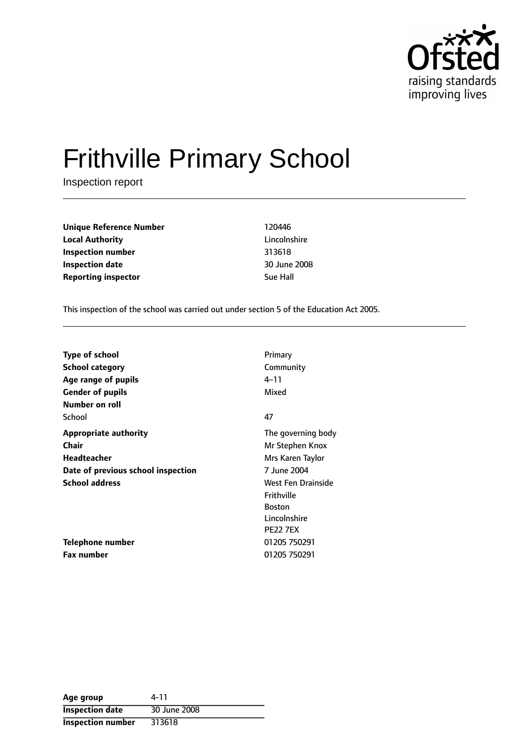

# Frithville Primary School

Inspection report

**Unique Reference Number** 120446 **Local Authority** Lincolnshire **Inspection number** 313618 **Inspection date** 30 June 2008 **Reporting inspector Sue Hall** 

This inspection of the school was carried out under section 5 of the Education Act 2005.

| <b>Type of school</b>              | Primary            |
|------------------------------------|--------------------|
| <b>School category</b>             | Community          |
| Age range of pupils                | 4–11               |
| <b>Gender of pupils</b>            | Mixed              |
| Number on roll                     |                    |
| School                             | 47                 |
| <b>Appropriate authority</b>       | The governing body |
| Chair                              | Mr Stephen Knox    |
| Headteacher                        | Mrs Karen Taylor   |
| Date of previous school inspection | 7 June 2004        |
| <b>School address</b>              | West Fen Drainside |
|                                    | Frithville         |
|                                    | <b>Boston</b>      |
|                                    | Lincolnshire       |
|                                    | <b>PE22 7EX</b>    |
| Telephone number                   | 01205 750291       |
| <b>Fax number</b>                  | 01205 750291       |

| Age group                | 4-11         |
|--------------------------|--------------|
| <b>Inspection date</b>   | 30 June 2008 |
| <b>Inspection number</b> | 313618       |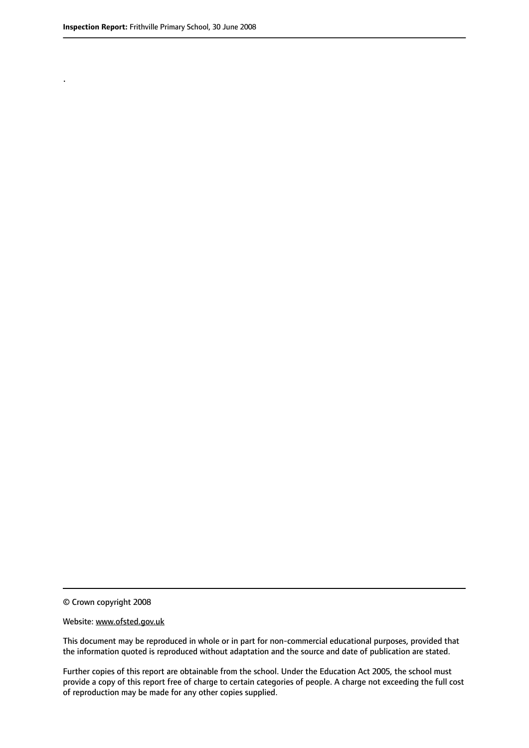.

© Crown copyright 2008

#### Website: www.ofsted.gov.uk

This document may be reproduced in whole or in part for non-commercial educational purposes, provided that the information quoted is reproduced without adaptation and the source and date of publication are stated.

Further copies of this report are obtainable from the school. Under the Education Act 2005, the school must provide a copy of this report free of charge to certain categories of people. A charge not exceeding the full cost of reproduction may be made for any other copies supplied.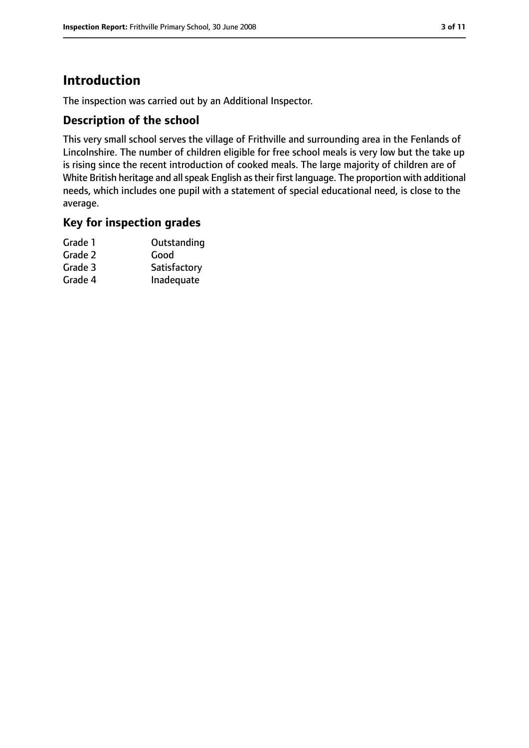# **Introduction**

The inspection was carried out by an Additional Inspector.

## **Description of the school**

This very small school serves the village of Frithville and surrounding area in the Fenlands of Lincolnshire. The number of children eligible for free school meals is very low but the take up is rising since the recent introduction of cooked meals. The large majority of children are of White British heritage and all speak English as their first language. The proportion with additional needs, which includes one pupil with a statement of special educational need, is close to the average.

#### **Key for inspection grades**

| Grade 1 | Outstanding  |
|---------|--------------|
| Grade 2 | Good         |
| Grade 3 | Satisfactory |
| Grade 4 | Inadequate   |
|         |              |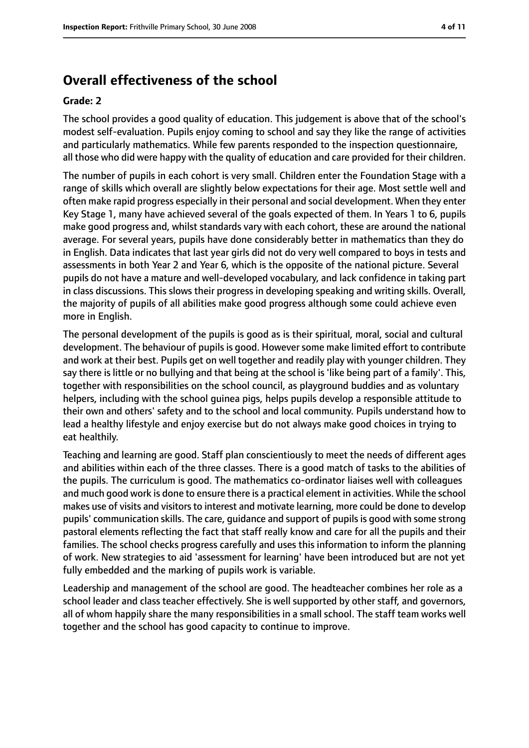# **Overall effectiveness of the school**

#### **Grade: 2**

The school provides a good quality of education. This judgement is above that of the school's modest self-evaluation. Pupils enjoy coming to school and say they like the range of activities and particularly mathematics. While few parents responded to the inspection questionnaire, all those who did were happy with the quality of education and care provided for their children.

The number of pupils in each cohort is very small. Children enter the Foundation Stage with a range of skills which overall are slightly below expectations for their age. Most settle well and often make rapid progress especially in their personal and social development. When they enter Key Stage 1, many have achieved several of the goals expected of them. In Years 1 to 6, pupils make good progress and, whilst standards vary with each cohort, these are around the national average. For several years, pupils have done considerably better in mathematics than they do in English. Data indicates that last year girls did not do very well compared to boys in tests and assessments in both Year 2 and Year 6, which is the opposite of the national picture. Several pupils do not have a mature and well-developed vocabulary, and lack confidence in taking part in class discussions. This slows their progress in developing speaking and writing skills. Overall, the majority of pupils of all abilities make good progress although some could achieve even more in English.

The personal development of the pupils is good as is their spiritual, moral, social and cultural development. The behaviour of pupils is good. However some make limited effort to contribute and work at their best. Pupils get on well together and readily play with younger children. They say there is little or no bullying and that being at the school is 'like being part of a family'. This, together with responsibilities on the school council, as playground buddies and as voluntary helpers, including with the school guinea pigs, helps pupils develop a responsible attitude to their own and others' safety and to the school and local community. Pupils understand how to lead a healthy lifestyle and enjoy exercise but do not always make good choices in trying to eat healthily.

Teaching and learning are good. Staff plan conscientiously to meet the needs of different ages and abilities within each of the three classes. There is a good match of tasks to the abilities of the pupils. The curriculum is good. The mathematics co-ordinator liaises well with colleagues and much good work is done to ensure there is a practical element in activities. While the school makes use of visits and visitors to interest and motivate learning, more could be done to develop pupils' communication skills. The care, guidance and support of pupils is good with some strong pastoral elements reflecting the fact that staff really know and care for all the pupils and their families. The school checks progress carefully and uses this information to inform the planning of work. New strategies to aid 'assessment for learning' have been introduced but are not yet fully embedded and the marking of pupils work is variable.

Leadership and management of the school are good. The headteacher combines her role as a school leader and class teacher effectively. She is well supported by other staff, and governors, all of whom happily share the many responsibilities in a small school. The staff team works well together and the school has good capacity to continue to improve.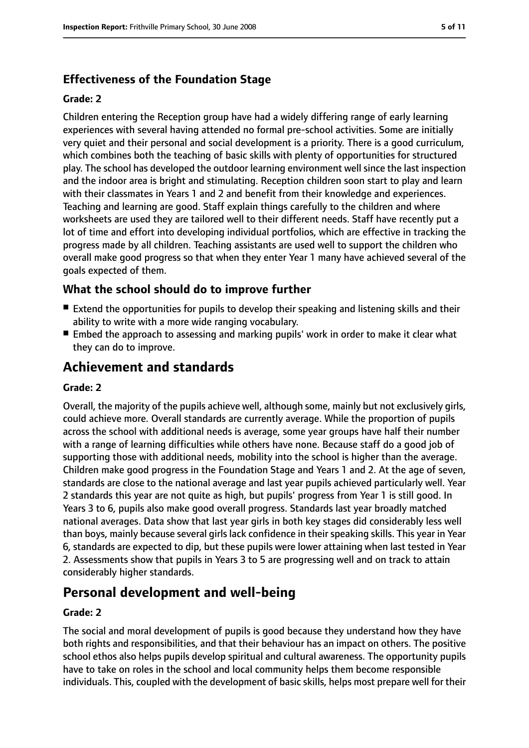## **Effectiveness of the Foundation Stage**

#### **Grade: 2**

Children entering the Reception group have had a widely differing range of early learning experiences with several having attended no formal pre-school activities. Some are initially very quiet and their personal and social development is a priority. There is a good curriculum, which combines both the teaching of basic skills with plenty of opportunities for structured play. The school has developed the outdoor learning environment well since the last inspection and the indoor area is bright and stimulating. Reception children soon start to play and learn with their classmates in Years 1 and 2 and benefit from their knowledge and experiences. Teaching and learning are good. Staff explain things carefully to the children and where worksheets are used they are tailored well to their different needs. Staff have recently put a lot of time and effort into developing individual portfolios, which are effective in tracking the progress made by all children. Teaching assistants are used well to support the children who overall make good progress so that when they enter Year 1 many have achieved several of the goals expected of them.

## **What the school should do to improve further**

- Extend the opportunities for pupils to develop their speaking and listening skills and their ability to write with a more wide ranging vocabulary.
- Embed the approach to assessing and marking pupils' work in order to make it clear what they can do to improve.

# **Achievement and standards**

#### **Grade: 2**

Overall, the majority of the pupils achieve well, although some, mainly but not exclusively girls, could achieve more. Overall standards are currently average. While the proportion of pupils across the school with additional needs is average, some year groups have half their number with a range of learning difficulties while others have none. Because staff do a good job of supporting those with additional needs, mobility into the school is higher than the average. Children make good progress in the Foundation Stage and Years 1 and 2. At the age of seven, standards are close to the national average and last year pupils achieved particularly well. Year 2 standards this year are not quite as high, but pupils' progress from Year 1 is still good. In Years 3 to 6, pupils also make good overall progress. Standards last year broadly matched national averages. Data show that last year girls in both key stages did considerably less well than boys, mainly because several girls lack confidence in their speaking skills. This year in Year 6, standards are expected to dip, but these pupils were lower attaining when last tested in Year 2. Assessments show that pupils in Years 3 to 5 are progressing well and on track to attain considerably higher standards.

# **Personal development and well-being**

#### **Grade: 2**

The social and moral development of pupils is good because they understand how they have both rights and responsibilities, and that their behaviour has an impact on others. The positive school ethos also helps pupils develop spiritual and cultural awareness. The opportunity pupils have to take on roles in the school and local community helps them become responsible individuals. This, coupled with the development of basic skills, helps most prepare well for their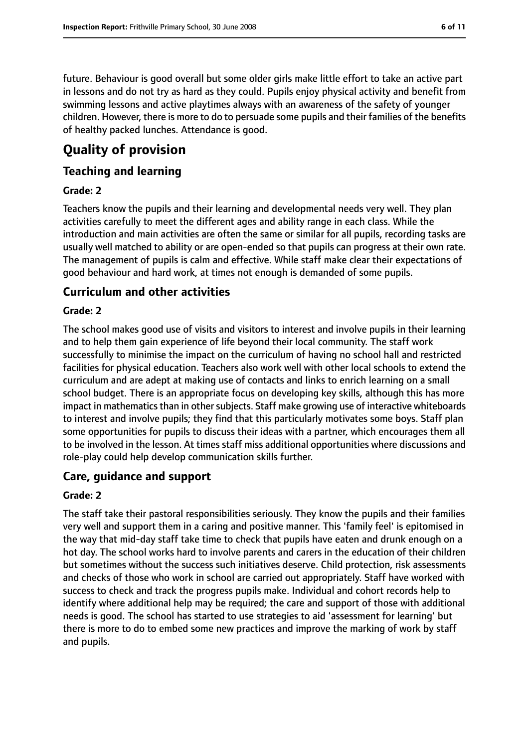future. Behaviour is good overall but some older girls make little effort to take an active part in lessons and do not try as hard as they could. Pupils enjoy physical activity and benefit from swimming lessons and active playtimes always with an awareness of the safety of younger children. However, there is more to do to persuade some pupils and their families of the benefits of healthy packed lunches. Attendance is good.

# **Quality of provision**

### **Teaching and learning**

#### **Grade: 2**

Teachers know the pupils and their learning and developmental needs very well. They plan activities carefully to meet the different ages and ability range in each class. While the introduction and main activities are often the same or similar for all pupils, recording tasks are usually well matched to ability or are open-ended so that pupils can progress at their own rate. The management of pupils is calm and effective. While staff make clear their expectations of good behaviour and hard work, at times not enough is demanded of some pupils.

### **Curriculum and other activities**

#### **Grade: 2**

The school makes good use of visits and visitors to interest and involve pupils in their learning and to help them gain experience of life beyond their local community. The staff work successfully to minimise the impact on the curriculum of having no school hall and restricted facilities for physical education. Teachers also work well with other local schools to extend the curriculum and are adept at making use of contacts and links to enrich learning on a small school budget. There is an appropriate focus on developing key skills, although this has more impact in mathematics than in other subjects. Staff make growing use of interactive whiteboards to interest and involve pupils; they find that this particularly motivates some boys. Staff plan some opportunities for pupils to discuss their ideas with a partner, which encourages them all to be involved in the lesson. At times staff miss additional opportunities where discussions and role-play could help develop communication skills further.

#### **Care, guidance and support**

#### **Grade: 2**

The staff take their pastoral responsibilities seriously. They know the pupils and their families very well and support them in a caring and positive manner. This 'family feel' is epitomised in the way that mid-day staff take time to check that pupils have eaten and drunk enough on a hot day. The school works hard to involve parents and carers in the education of their children but sometimes without the success such initiatives deserve. Child protection, risk assessments and checks of those who work in school are carried out appropriately. Staff have worked with success to check and track the progress pupils make. Individual and cohort records help to identify where additional help may be required; the care and support of those with additional needs is good. The school has started to use strategies to aid 'assessment for learning' but there is more to do to embed some new practices and improve the marking of work by staff and pupils.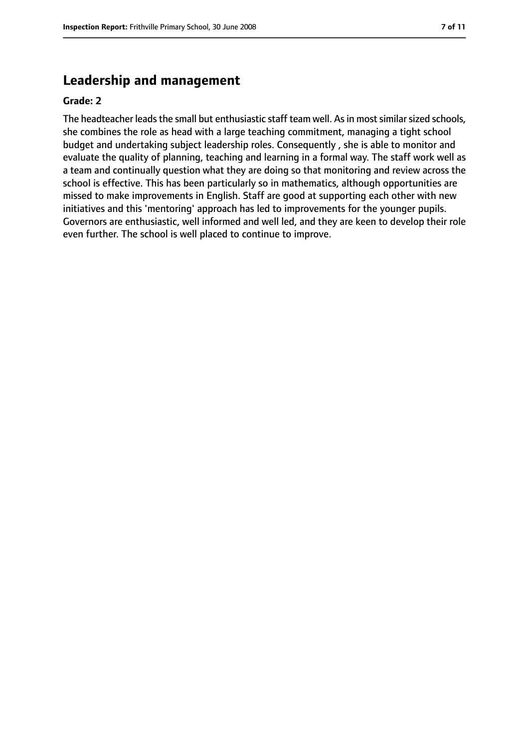## **Leadership and management**

#### **Grade: 2**

The headteacher leads the small but enthusiastic staff team well. As in most similar sized schools, she combines the role as head with a large teaching commitment, managing a tight school budget and undertaking subject leadership roles. Consequently , she is able to monitor and evaluate the quality of planning, teaching and learning in a formal way. The staff work well as a team and continually question what they are doing so that monitoring and review across the school is effective. This has been particularly so in mathematics, although opportunities are missed to make improvements in English. Staff are good at supporting each other with new initiatives and this 'mentoring' approach has led to improvements for the younger pupils. Governors are enthusiastic, well informed and well led, and they are keen to develop their role even further. The school is well placed to continue to improve.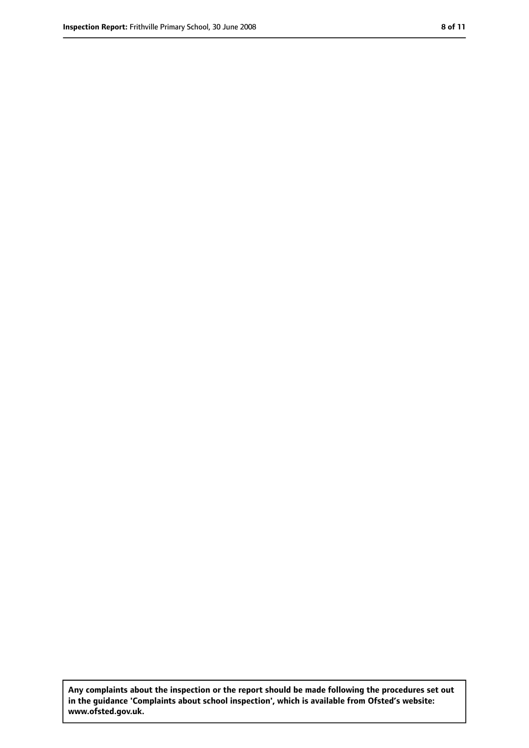**Any complaints about the inspection or the report should be made following the procedures set out in the guidance 'Complaints about school inspection', which is available from Ofsted's website: www.ofsted.gov.uk.**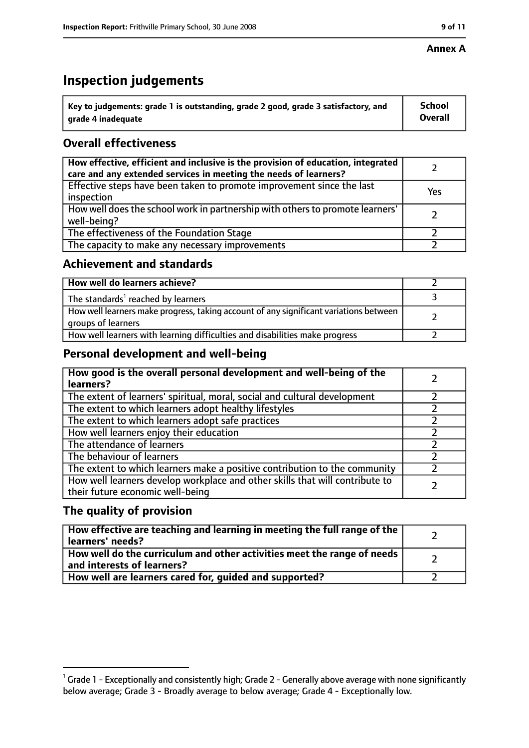#### **Annex A**

# **Inspection judgements**

| $\degree$ Key to judgements: grade 1 is outstanding, grade 2 good, grade 3 satisfactory, and | School         |
|----------------------------------------------------------------------------------------------|----------------|
| arade 4 inadequate                                                                           | <b>Overall</b> |

## **Overall effectiveness**

| How effective, efficient and inclusive is the provision of education, integrated<br>care and any extended services in meeting the needs of learners? |     |
|------------------------------------------------------------------------------------------------------------------------------------------------------|-----|
| Effective steps have been taken to promote improvement since the last<br>inspection                                                                  | Yes |
| How well does the school work in partnership with others to promote learners'<br>well-being?                                                         |     |
| The effectiveness of the Foundation Stage                                                                                                            |     |
| The capacity to make any necessary improvements                                                                                                      |     |

### **Achievement and standards**

| How well do learners achieve?                                                                               |  |
|-------------------------------------------------------------------------------------------------------------|--|
| The standards <sup>1</sup> reached by learners                                                              |  |
| How well learners make progress, taking account of any significant variations between<br>groups of learners |  |
| How well learners with learning difficulties and disabilities make progress                                 |  |

## **Personal development and well-being**

| How good is the overall personal development and well-being of the<br>learners?                                  |  |
|------------------------------------------------------------------------------------------------------------------|--|
| The extent of learners' spiritual, moral, social and cultural development                                        |  |
| The extent to which learners adopt healthy lifestyles                                                            |  |
| The extent to which learners adopt safe practices                                                                |  |
| How well learners enjoy their education                                                                          |  |
| The attendance of learners                                                                                       |  |
| The behaviour of learners                                                                                        |  |
| The extent to which learners make a positive contribution to the community                                       |  |
| How well learners develop workplace and other skills that will contribute to<br>their future economic well-being |  |

## **The quality of provision**

| How effective are teaching and learning in meeting the full range of the<br>learners' needs?          |  |
|-------------------------------------------------------------------------------------------------------|--|
| How well do the curriculum and other activities meet the range of needs<br>and interests of learners? |  |
| How well are learners cared for, quided and supported?                                                |  |

 $^1$  Grade 1 - Exceptionally and consistently high; Grade 2 - Generally above average with none significantly below average; Grade 3 - Broadly average to below average; Grade 4 - Exceptionally low.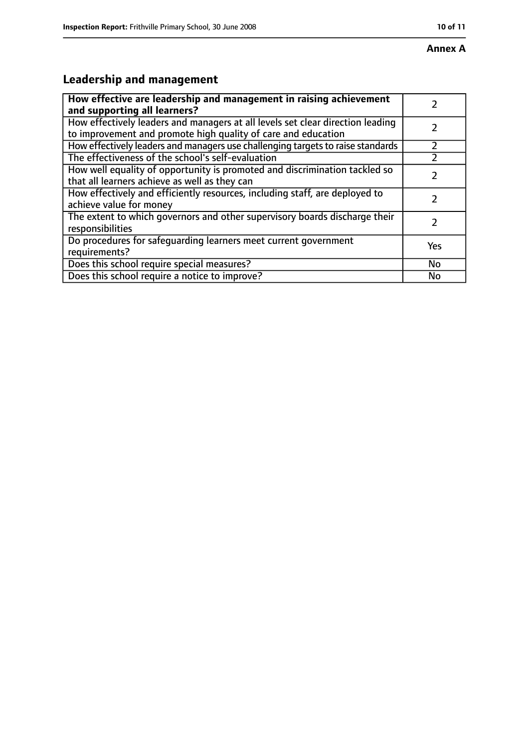# **Annex A**

# **Leadership and management**

| How effective are leadership and management in raising achievement<br>and supporting all learners?                                              |           |
|-------------------------------------------------------------------------------------------------------------------------------------------------|-----------|
| How effectively leaders and managers at all levels set clear direction leading<br>to improvement and promote high quality of care and education |           |
| How effectively leaders and managers use challenging targets to raise standards                                                                 |           |
| The effectiveness of the school's self-evaluation                                                                                               |           |
| How well equality of opportunity is promoted and discrimination tackled so<br>that all learners achieve as well as they can                     |           |
| How effectively and efficiently resources, including staff, are deployed to<br>achieve value for money                                          | 7         |
| The extent to which governors and other supervisory boards discharge their<br>responsibilities                                                  |           |
| Do procedures for safequarding learners meet current government<br>requirements?                                                                | Yes       |
| Does this school require special measures?                                                                                                      | <b>No</b> |
| Does this school require a notice to improve?                                                                                                   | No        |